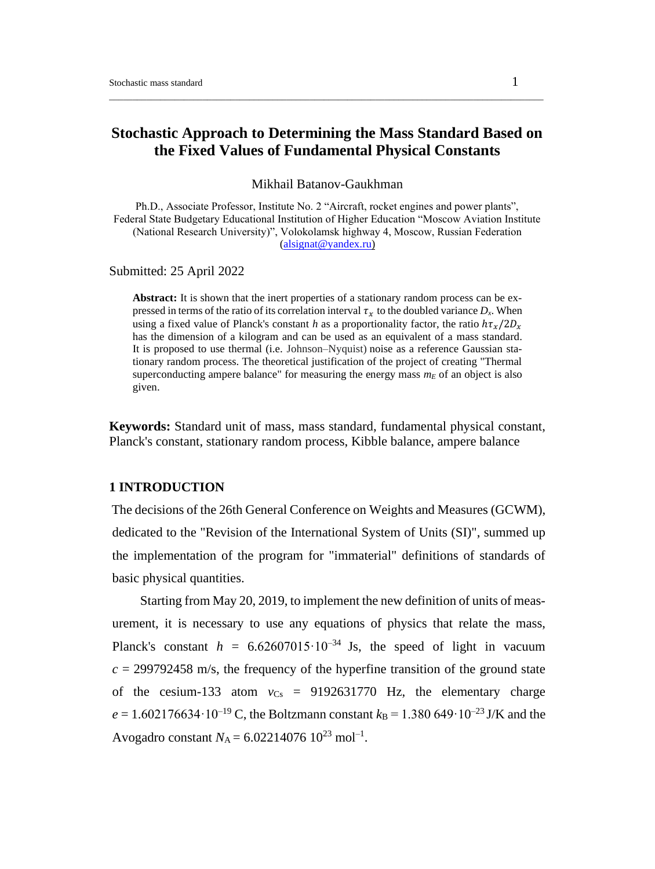# **Stochastic Approach to Determining the Mass Standard Based on the Fixed Values of Fundamental Physical Constants**

\_\_\_\_\_\_\_\_\_\_\_\_\_\_\_\_\_\_\_\_\_\_\_\_\_\_\_\_\_\_\_\_\_\_\_\_\_\_\_\_\_\_\_\_\_\_\_\_\_\_\_\_\_\_\_\_\_\_\_\_\_\_\_\_\_\_\_\_\_\_\_\_\_\_\_\_\_\_\_\_\_\_\_\_\_\_\_\_\_\_\_\_\_

Mikhail Batanov-Gaukhman

Ph.D., Associate Professor, Institute No. 2 "Aircraft, rocket engines and power plants", Federal State Budgetary Educational Institution of Higher Education "Moscow Aviation Institute (National Research University)", Volokolamsk highway 4, Moscow, Russian Federation [\(alsignat@yandex.ru\)](mailto:alsignat@yandex.ru)

#### Submitted: 25 April 2022

**Abstract:** It is shown that the inert properties of a stationary random process can be expressed in terms of the ratio of its correlation interval  $\tau_r$  to the doubled variance  $D_x$ . When using a fixed value of Planck's constant *h* as a proportionality factor, the ratio  $h\tau_{\nu}/2D_{\nu}$ has the dimension of a kilogram and can be used as an equivalent of a mass standard. It is proposed to use thermal (i.e. Johnson–Nyquist) noise as a reference Gaussian stationary random process. The theoretical justification of the project of creating "Thermal superconducting ampere balance" for measuring the energy mass  $m_E$  of an object is also given.

**Keywords:** Standard unit of mass, mass standard, fundamental physical constant, Planck's constant, stationary random process, Kibble balance, ampere balance

## **1 INTRODUCTION**

The decisions of the 26th General Conference on Weights and Measures (GCWM), dedicated to the "Revision of the International System of Units (SI)", summed up the implementation of the program for "immaterial" definitions of standards of basic physical quantities.

Starting from May 20, 2019, to implement the new definition of units of measurement, it is necessary to use any equations of physics that relate the mass, Planck's constant  $h = 6.62607015 \cdot 10^{-34}$  Js, the speed of light in vacuum  $c = 299792458$  m/s, the frequency of the hyperfine transition of the ground state of the cesium-133 atom  $v_{Cs}$  = 9192631770 Hz, the elementary charge  $e = 1.602176634 \cdot 10^{-19}$  C, the Boltzmann constant  $k_B = 1.380649 \cdot 10^{-23}$  J/K and the Avogadro constant  $N_A = 6.02214076 \; 10^{23} \; \text{mol}^{-1}$ .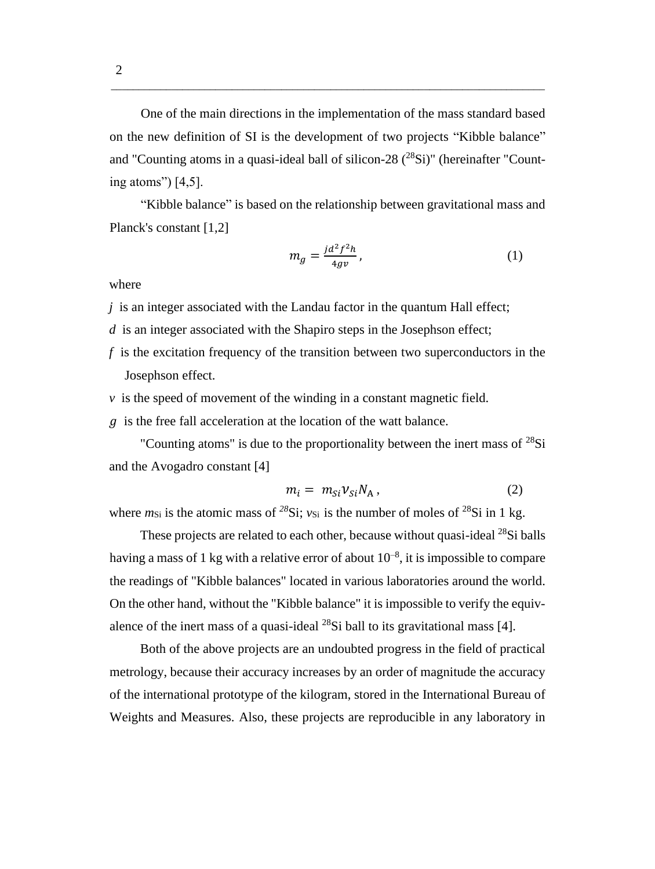One of the main directions in the implementation of the mass standard based on the new definition of SI is the development of two projects "Kibble balance" and "Counting atoms in a quasi-ideal ball of silicon-28  $(^{28}Si)$ " (hereinafter "Counting atoms") [4,5].

\_\_\_\_\_\_\_\_\_\_\_\_\_\_\_\_\_\_\_\_\_\_\_\_\_\_\_\_\_\_\_\_\_\_\_\_\_\_\_\_\_\_\_\_\_\_\_\_\_\_\_\_\_\_\_\_\_\_\_\_\_\_\_\_\_\_\_\_\_\_\_\_\_\_\_\_\_\_\_

"Kibble balance" is based on the relationship between gravitational mass and Planck's constant [1,2]

$$
m_g = \frac{jd^2f^2h}{4gv},\tag{1}
$$

where

*j* is an integer associated with the Landau factor in the quantum Hall effect;

*d* is an integer associated with the Shapiro steps in the Josephson effect;

- *f* is the excitation frequency of the transition between two superconductors in the Josephson effect.
- $\nu$  is the speed of movement of the winding in a constant magnetic field.

 $g$  is the free fall acceleration at the location of the watt balance.

"Counting atoms" is due to the proportionality between the inert mass of  $^{28}Si$ and the Avogadro constant [4]

$$
m_i = m_{Si} v_{Si} N_A , \qquad (2)
$$

where  $m_{\text{Si}}$  is the atomic mass of <sup>28</sup>Si;  $v_{\text{Si}}$  is the number of moles of <sup>28</sup>Si in 1 kg.

These projects are related to each other, because without quasi-ideal <sup>28</sup>Si balls having a mass of 1 kg with a relative error of about  $10^{-8}$ , it is impossible to compare the readings of "Kibble balances" located in various laboratories around the world. On the other hand, without the "Kibble balance" it is impossible to verify the equivalence of the inert mass of a quasi-ideal  $^{28}$ Si ball to its gravitational mass [4].

Both of the above projects are an undoubted progress in the field of practical metrology, because their accuracy increases by an order of magnitude the accuracy of the international prototype of the kilogram, stored in the International Bureau of Weights and Measures. Also, these projects are reproducible in any laboratory in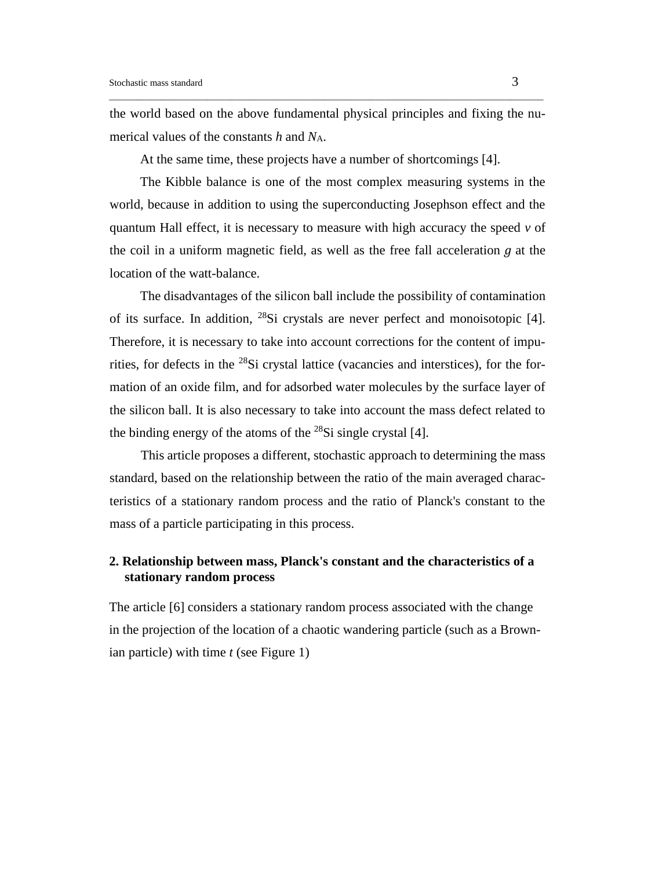the world based on the above fundamental physical principles and fixing the numerical values of the constants *h* and *N*A.

\_\_\_\_\_\_\_\_\_\_\_\_\_\_\_\_\_\_\_\_\_\_\_\_\_\_\_\_\_\_\_\_\_\_\_\_\_\_\_\_\_\_\_\_\_\_\_\_\_\_\_\_\_\_\_\_\_\_\_\_\_\_\_\_\_\_\_\_\_\_\_\_\_\_\_\_\_\_\_\_\_\_\_\_\_\_\_\_\_\_\_\_\_

At the same time, these projects have a number of shortcomings [4].

The Kibble balance is one of the most complex measuring systems in the world, because in addition to using the superconducting Josephson effect and the quantum Hall effect, it is necessary to measure with high accuracy the speed *v* of the coil in a uniform magnetic field, as well as the free fall acceleration  $q$  at the location of the watt-balance.

The disadvantages of the silicon ball include the possibility of contamination of its surface. In addition, <sup>28</sup>Si crystals are never perfect and monoisotopic [4]. Therefore, it is necessary to take into account corrections for the content of impurities, for defects in the <sup>28</sup>Si crystal lattice (vacancies and interstices), for the formation of an oxide film, and for adsorbed water molecules by the surface layer of the silicon ball. It is also necessary to take into account the mass defect related to the binding energy of the atoms of the  $^{28}Si$  single crystal [4].

This article proposes a different, stochastic approach to determining the mass standard, based on the relationship between the ratio of the main averaged characteristics of a stationary random process and the ratio of Planck's constant to the mass of a particle participating in this process.

## **2. Relationship between mass, Planck's constant and the characteristics of a stationary random process**

The article [6] considers a stationary random process associated with the change in the projection of the location of a chaotic wandering particle (such as a Brownian particle) with time *t* (see Figure 1)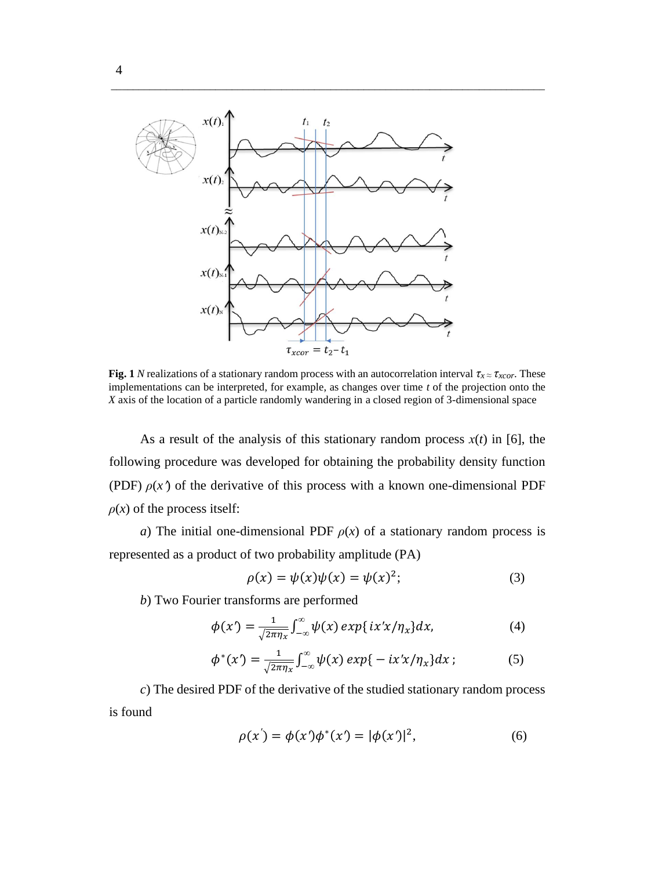

**Fig. 1** *N* realizations of a stationary random process with an autocorrelation interval  $\tau_x \approx \tau_{xcor}$ . These implementations can be interpreted, for example, as changes over time *t* of the projection onto the *X* axis of the location of a particle randomly wandering in a closed region of 3-dimensional space

\_\_\_\_\_\_\_\_\_\_\_\_\_\_\_\_\_\_\_\_\_\_\_\_\_\_\_\_\_\_\_\_\_\_\_\_\_\_\_\_\_\_\_\_\_\_\_\_\_\_\_\_\_\_\_\_\_\_\_\_\_\_\_\_\_\_\_\_\_\_\_\_\_\_\_\_\_\_\_

As a result of the analysis of this stationary random process  $x(t)$  in [6], the following procedure was developed for obtaining the probability density function (PDF)  $\rho(x)$  of the derivative of this process with a known one-dimensional PDF  $\rho(x)$  of the process itself:

*a*) The initial one-dimensional PDF  $\rho(x)$  of a stationary random process is represented as a product of two probability amplitude (PA)

$$
\rho(x) = \psi(x)\psi(x) = \psi(x)^2; \tag{3}
$$

*b*) Two Fourier transforms are performed

$$
\phi(x') = \frac{1}{\sqrt{2\pi\eta_x}} \int_{-\infty}^{\infty} \psi(x) \exp\{ix'x/\eta_x\} dx, \tag{4}
$$

$$
\phi^*(x') = \frac{1}{\sqrt{2\pi\eta_x}} \int_{-\infty}^{\infty} \psi(x) \exp\{-ix'x/\eta_x\} dx \tag{5}
$$

*c*) The desired PDF of the derivative of the studied stationary random process is found

$$
\rho(x') = \phi(x')\phi^*(x') = |\phi(x')|^2, \tag{6}
$$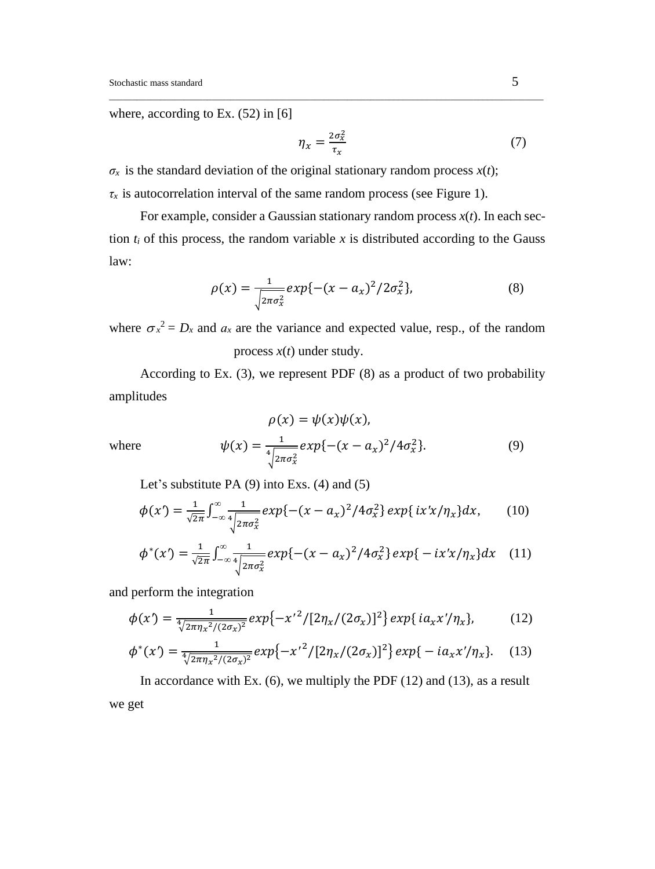where, according to Ex. (52) in [6]

$$
\eta_x = \frac{2\sigma_x^2}{\tau_x} \tag{7}
$$

 $\sigma_x$  is the standard deviation of the original stationary random process  $x(t)$ ;

 $\tau_x$  is autocorrelation interval of the same random process (see Figure 1).

For example, consider a Gaussian stationary random process  $x(t)$ . In each section  $t_i$  of this process, the random variable  $x$  is distributed according to the Gauss law:

\_\_\_\_\_\_\_\_\_\_\_\_\_\_\_\_\_\_\_\_\_\_\_\_\_\_\_\_\_\_\_\_\_\_\_\_\_\_\_\_\_\_\_\_\_\_\_\_\_\_\_\_\_\_\_\_\_\_\_\_\_\_\_\_\_\_\_\_\_\_\_\_\_\_\_\_\_\_\_\_\_\_\_\_\_\_\_\_\_\_\_\_\_

$$
\rho(x) = \frac{1}{\sqrt{2\pi\sigma_x^2}} exp{-(x - a_x)^2 / 2\sigma_x^2},
$$
\n(8)

where  $\sigma_x^2 = D_x$  and  $a_x$  are the variance and expected value, resp., of the random process *x*(*t*) under study.

According to Ex. (3), we represent PDF (8) as a product of two probability amplitudes

$$
\rho(x) = \psi(x)\psi(x),
$$
  

$$
\psi(x) = \frac{1}{\sqrt{2\pi\sigma_x^2}} exp{-(x - a_x)^2/4\sigma_x^2}.
$$
 (9)

where  $\psi$ 

Let's substitute PA (9) into Exs. (4) and (5)

$$
\phi(x') = \frac{1}{\sqrt{2\pi}} \int_{-\infty}^{\infty} \frac{1}{4\sqrt{2\pi\sigma_x^2}} exp\{-(x-a_x)^2/4\sigma_x^2\} exp\{ix'x/\eta_x\} dx,\qquad(10)
$$

$$
\phi^*(x') = \frac{1}{\sqrt{2\pi}} \int_{-\infty}^{\infty} \frac{1}{4\sqrt{2\pi\sigma_x^2}} exp\{-(x-a_x)^2/4\sigma_x^2\} exp\{-ix'x/\eta_x\} dx \quad (11)
$$

and perform the integration

$$
\phi(x') = \frac{1}{\sqrt[4]{2\pi\eta_x^2/(2\sigma_x)^2}} exp\{-x'^2/[2\eta_x/(2\sigma_x)]^2\} exp\{ia_x x'/\eta_x\},\tag{12}
$$

$$
\phi^*(x') = \frac{1}{\sqrt[4]{2\pi\eta_x^2/(2\sigma_x)^2}} exp\{-x'^2/[2\eta_x/(2\sigma_x)]^2\} exp\{-ia_x x'/\eta_x\}. \quad (13)
$$

In accordance with Ex.  $(6)$ , we multiply the PDF  $(12)$  and  $(13)$ , as a result we get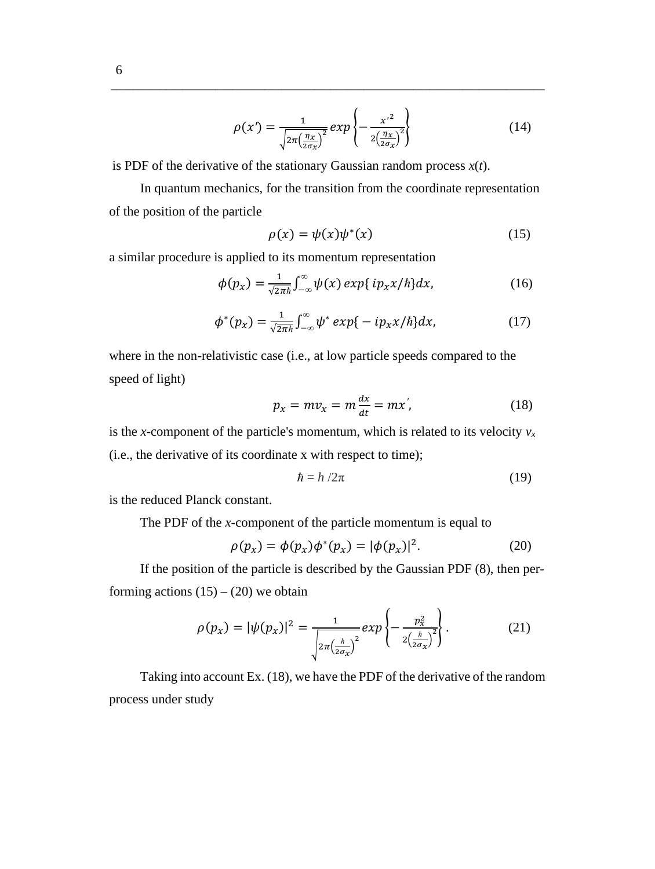$$
\rho(x') = \frac{1}{\sqrt{2\pi \left(\frac{\eta_x}{2\sigma_x}\right)^2}} \exp\left\{-\frac{x'^2}{2\left(\frac{\eta_x}{2\sigma_x}\right)^2}\right\} \tag{14}
$$

is PDF of the derivative of the stationary Gaussian random process *x*(*t*).

In quantum mechanics, for the transition from the coordinate representation of the position of the particle

\_\_\_\_\_\_\_\_\_\_\_\_\_\_\_\_\_\_\_\_\_\_\_\_\_\_\_\_\_\_\_\_\_\_\_\_\_\_\_\_\_\_\_\_\_\_\_\_\_\_\_\_\_\_\_\_\_\_\_\_\_\_\_\_\_\_\_\_\_\_\_\_\_\_\_\_\_\_\_

$$
\rho(x) = \psi(x)\psi^*(x) \tag{15}
$$

a similar procedure is applied to its momentum representation

$$
\phi(p_x) = \frac{1}{\sqrt{2\pi\hbar}} \int_{-\infty}^{\infty} \psi(x) \exp\{ip_x x/\hbar\} dx, \qquad (16)
$$

$$
\phi^*(p_x) = \frac{1}{\sqrt{2\pi\hbar}} \int_{-\infty}^{\infty} \psi^* \exp\{-ip_x x/\hbar\} dx, \qquad (17)
$$

where in the non-relativistic case (i.e., at low particle speeds compared to the speed of light)

$$
p_x = mv_x = m\frac{dx}{dt} = mx',\qquad(18)
$$

is the *x*-component of the particle's momentum, which is related to its velocity  $v_x$ (i.e., the derivative of its coordinate x with respect to time);

$$
\hbar = h/2\pi \tag{19}
$$

is the reduced Planck constant.

The PDF of the *x*-component of the particle momentum is equal to

$$
\rho(p_x) = \phi(p_x)\phi^*(p_x) = |\phi(p_x)|^2. \tag{20}
$$

If the position of the particle is described by the Gaussian PDF (8), then performing actions  $(15) - (20)$  we obtain

$$
\rho(p_x) = |\psi(p_x)|^2 = \frac{1}{\sqrt{2\pi \left(\frac{h}{2\sigma_x}\right)^2}} exp\left\{-\frac{p_x^2}{2\left(\frac{h}{2\sigma_x}\right)^2}\right\}.
$$
 (21)

Taking into account Ex. (18), we have the PDF of the derivative of the random process under study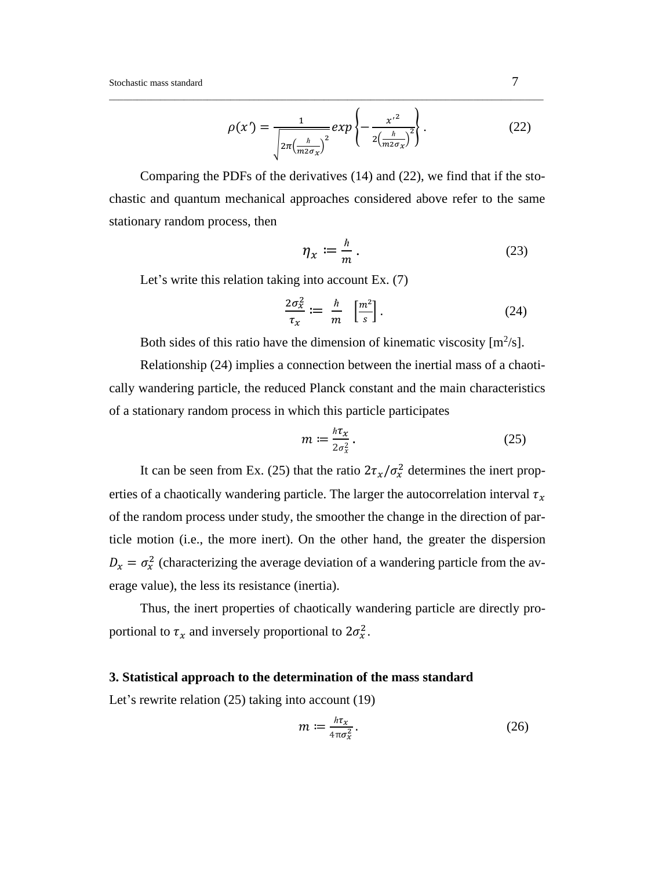$$
\rho(x') = \frac{1}{\sqrt{2\pi \left(\frac{h}{m2\sigma_X}\right)^2}} exp\left\{-\frac{x'^2}{2\left(\frac{h}{m2\sigma_X}\right)^2}\right\}.
$$
\n(22)

Comparing the PDFs of the derivatives (14) and (22), we find that if the stochastic and quantum mechanical approaches considered above refer to the same stationary random process, then

\_\_\_\_\_\_\_\_\_\_\_\_\_\_\_\_\_\_\_\_\_\_\_\_\_\_\_\_\_\_\_\_\_\_\_\_\_\_\_\_\_\_\_\_\_\_\_\_\_\_\_\_\_\_\_\_\_\_\_\_\_\_\_\_\_\_\_\_\_\_\_\_\_\_\_\_\_\_\_\_\_\_\_\_\_\_\_\_\_\_\_\_\_

$$
\eta_x := \frac{\hbar}{m} \,. \tag{23}
$$

Let's write this relation taking into account Ex. (7)

$$
\frac{2\sigma_x^2}{\tau_x} := \frac{\hbar}{m} \left[ \frac{m^2}{s} \right]. \tag{24}
$$

Both sides of this ratio have the dimension of kinematic viscosity  $[m^2/s]$ .

Relationship (24) implies a connection between the inertial mass of a chaotically wandering particle, the reduced Planck constant and the main characteristics of a stationary random process in which this particle participates

$$
m := \frac{\hbar \tau_x}{2\sigma_x^2} \,. \tag{25}
$$

It can be seen from Ex. (25) that the ratio  $2\tau_x/\sigma_x^2$  determines the inert properties of a chaotically wandering particle. The larger the autocorrelation interval  $\tau_x$ of the random process under study, the smoother the change in the direction of particle motion (i.e., the more inert). On the other hand, the greater the dispersion  $D_x = \sigma_x^2$  (characterizing the average deviation of a wandering particle from the average value), the less its resistance (inertia).

Thus, the inert properties of chaotically wandering particle are directly proportional to  $\tau_x$  and inversely proportional to  $2\sigma_x^2$ .

## **3. Statistical approach to the determination of the mass standard**

Let's rewrite relation (25) taking into account (19)

$$
m := \frac{h\tau_x}{4\pi\sigma_x^2} \,. \tag{26}
$$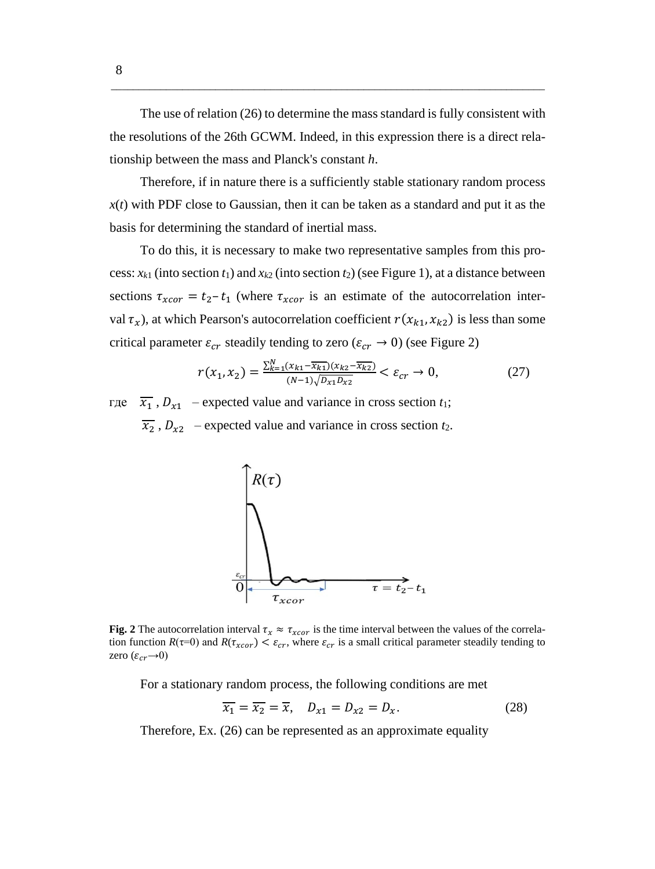The use of relation (26) to determine the mass standard is fully consistent with the resolutions of the 26th GCWM. Indeed, in this expression there is a direct relationship between the mass and Planck's constant *h*.

\_\_\_\_\_\_\_\_\_\_\_\_\_\_\_\_\_\_\_\_\_\_\_\_\_\_\_\_\_\_\_\_\_\_\_\_\_\_\_\_\_\_\_\_\_\_\_\_\_\_\_\_\_\_\_\_\_\_\_\_\_\_\_\_\_\_\_\_\_\_\_\_\_\_\_\_\_\_\_

Therefore, if in nature there is a sufficiently stable stationary random process *x*(*t*) with PDF close to Gaussian, then it can be taken as a standard and put it as the basis for determining the standard of inertial mass.

To do this, it is necessary to make two representative samples from this process:  $x_{k1}$  (into section  $t_1$ ) and  $x_{k2}$  (into section  $t_2$ ) (see Figure 1), at a distance between sections  $\tau_{xcor} = t_2 - t_1$  (where  $\tau_{xcor}$  is an estimate of the autocorrelation interval  $\tau_x$ ), at which Pearson's autocorrelation coefficient  $r(x_{k1}, x_{k2})$  is less than some critical parameter  $\varepsilon_{cr}$  steadily tending to zero ( $\varepsilon_{cr} \rightarrow 0$ ) (see Figure 2)

$$
r(x_1, x_2) = \frac{\sum_{k=1}^{N} (x_{k1} - \overline{x_{k1}})(x_{k2} - \overline{x_{k2}})}{(N-1)\sqrt{D_{x1}D_{x2}}} < \varepsilon_{cr} \to 0,\tag{27}
$$

где  $\overline{x_1}$ ,  $D_{x1}$  – expected value and variance in cross section  $t_1$ ;  $\overline{x_2}$ ,  $D_{x2}$  – expected value and variance in cross section *t*<sub>2</sub>.



**Fig.** 2 The autocorrelation interval  $\tau_x \approx \tau_{xcor}$  is the time interval between the values of the correlation function  $R(\tau=0)$  and  $R(\tau_{xcor}) < \varepsilon_{cr}$ , where  $\varepsilon_{cr}$  is a small critical parameter steadily tending to zero  $(\varepsilon_{cr}\rightarrow 0)$ 

For a stationary random process, the following conditions are met

$$
\overline{x_1} = \overline{x_2} = \overline{x}, \quad D_{x1} = D_{x2} = D_x. \tag{28}
$$

Therefore, Ex. (26) can be represented as an approximate equality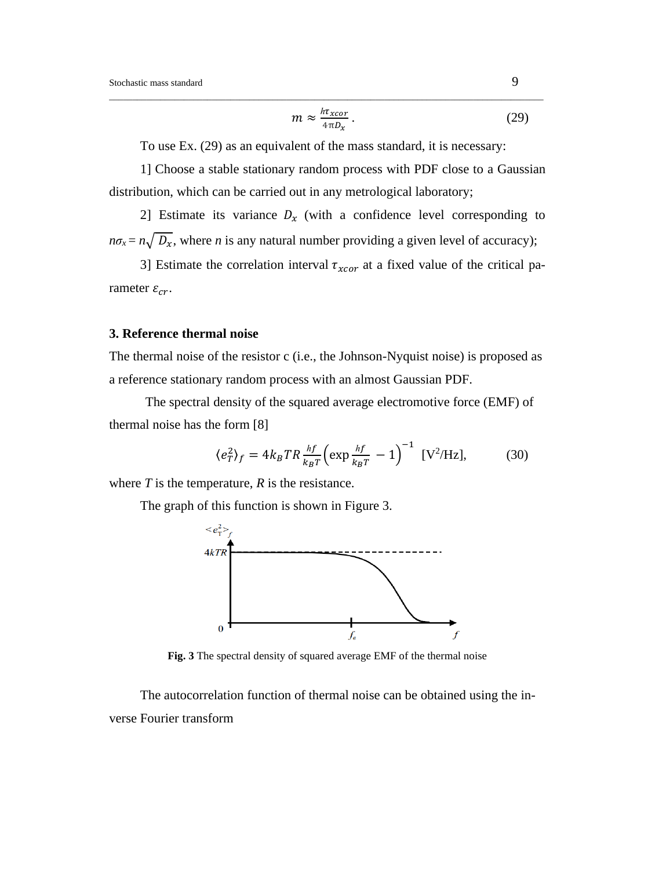$$
m \approx \frac{h\tau_{xcor}}{4\pi D_x} \,. \tag{29}
$$

To use Ex. (29) as an equivalent of the mass standard, it is necessary:

\_\_\_\_\_\_\_\_\_\_\_\_\_\_\_\_\_\_\_\_\_\_\_\_\_\_\_\_\_\_\_\_\_\_\_\_\_\_\_\_\_\_\_\_\_\_\_\_\_\_\_\_\_\_\_\_\_\_\_\_\_\_\_\_\_\_\_\_\_\_\_\_\_\_\_\_\_\_\_\_\_\_\_\_\_\_\_\_\_\_\_\_\_

1] Choose a stable stationary random process with PDF close to a Gaussian distribution, which can be carried out in any metrological laboratory;

2] Estimate its variance  $D_x$  (with a confidence level corresponding to  $n\sigma_x = n\sqrt{D_x}$ , where *n* is any natural number providing a given level of accuracy);

3] Estimate the correlation interval  $\tau_{xcor}$  at a fixed value of the critical parameter  $\varepsilon_{cr}$ .

#### **3. Reference thermal noise**

The thermal noise of the resistor c (i.e., the Johnson-Nyquist noise) is proposed as a reference stationary random process with an almost Gaussian PDF.

 The spectral density of the squared average electromotive force (EMF) of thermal noise has the form [8]

$$
\langle e_T^2 \rangle_f = 4k_B TR \frac{hf}{k_B T} \left( \exp \frac{hf}{k_B T} - 1 \right)^{-1} [V^2 / Hz], \tag{30}
$$

where  $T$  is the temperature,  $R$  is the resistance.

The graph of this function is shown in Figure 3.



**Fig. 3** The spectral density of squared average EMF of the thermal noise

The autocorrelation function of thermal noise can be obtained using the inverse Fourier transform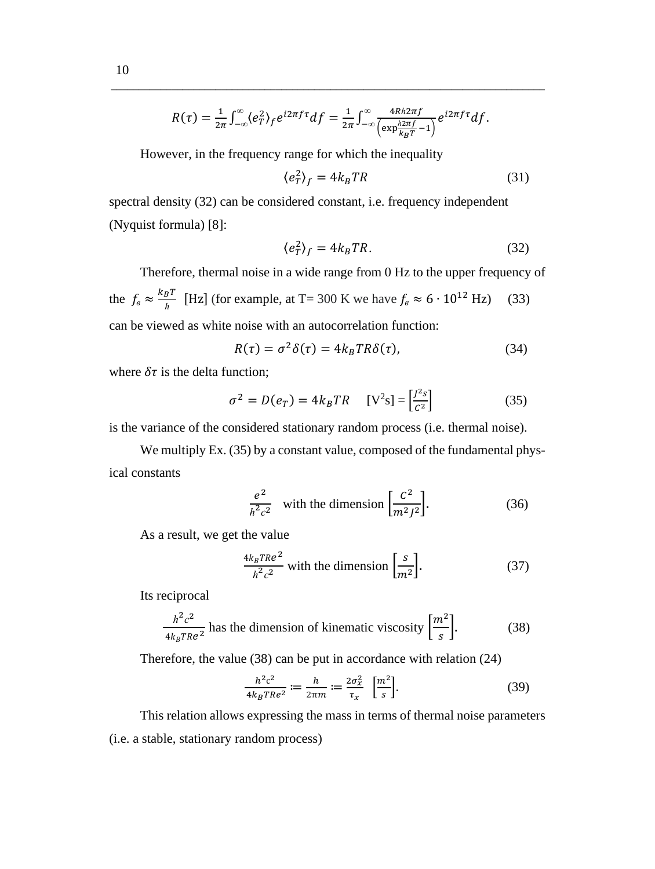$$
R(\tau) = \frac{1}{2\pi} \int_{-\infty}^{\infty} \langle e_T^2 \rangle_f e^{i2\pi f \tau} df = \frac{1}{2\pi} \int_{-\infty}^{\infty} \frac{4Rh2\pi f}{\left(\exp\frac{h2\pi f}{k_B T} - 1\right)} e^{i2\pi f \tau} df.
$$

\_\_\_\_\_\_\_\_\_\_\_\_\_\_\_\_\_\_\_\_\_\_\_\_\_\_\_\_\_\_\_\_\_\_\_\_\_\_\_\_\_\_\_\_\_\_\_\_\_\_\_\_\_\_\_\_\_\_\_\_\_\_\_\_\_\_\_\_\_\_\_\_\_\_\_\_\_\_\_

However, in the frequency range for which the inequality

$$
\langle e_T^2 \rangle_f = 4k_BTR \tag{31}
$$

spectral density (32) can be considered constant, i.e. frequency independent (Nyquist formula) [8]:

$$
\langle e_T^2 \rangle_f = 4k_BTR. \tag{32}
$$

Therefore, thermal noise in a wide range from 0 Hz to the upper frequency of the  $f_e \approx \frac{k_B T}{h}$  $\frac{B^I}{h}$  [Hz] (for example, at T= 300 K we have  $f_e \approx 6 \cdot 10^{12}$  Hz) (33) can be viewed as white noise with an autocorrelation function:

$$
R(\tau) = \sigma^2 \delta(\tau) = 4k_B TR\delta(\tau), \tag{34}
$$

where  $\delta\tau$  is the delta function;

$$
\sigma^2 = D(e_T) = 4k_BTR \quad [V^2s] = \left[\frac{J^2s}{c^2}\right]
$$
 (35)

is the variance of the considered stationary random process (i.e. thermal noise).

We multiply Ex. (35) by a constant value, composed of the fundamental physical constants

$$
\frac{e^2}{h^2 c^2}
$$
 with the dimension  $\left[\frac{c^2}{m^2 J^2}\right]$ . (36)

As a result, we get the value

$$
\frac{4k_B T Re^2}{h^2 c^2}
$$
 with the dimension  $\left[\frac{s}{m^2}\right]$ . (37)

Its reciprocal

$$
\frac{h^2 c^2}{4k_B T Re^2}
$$
 has the dimension of kinematic viscosity  $\left[\frac{m^2}{s}\right]$ . (38)

Therefore, the value (38) can be put in accordance with relation (24)

$$
\frac{h^2c^2}{4k_BTRe^2} := \frac{h}{2\pi m} := \frac{2\sigma_x^2}{\tau_x} \quad \left[\frac{m^2}{s}\right].\tag{39}
$$

This relation allows expressing the mass in terms of thermal noise parameters (i.e. a stable, stationary random process)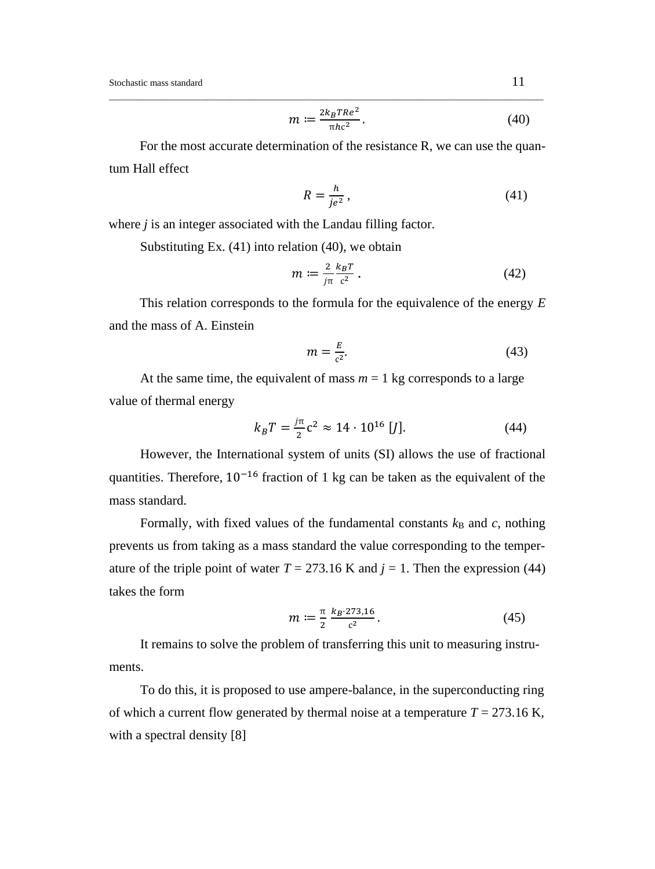$$
m := \frac{2k_B T Re^2}{\pi h c^2}.
$$
\n(40)

For the most accurate determination of the resistance R, we can use the quantum Hall effect

\_\_\_\_\_\_\_\_\_\_\_\_\_\_\_\_\_\_\_\_\_\_\_\_\_\_\_\_\_\_\_\_\_\_\_\_\_\_\_\_\_\_\_\_\_\_\_\_\_\_\_\_\_\_\_\_\_\_\_\_\_\_\_\_\_\_\_\_\_\_\_\_\_\_\_\_\_\_\_\_\_\_\_\_\_\_\_\_\_\_\_\_\_

$$
R = \frac{h}{je^2},\tag{41}
$$

where *j* is an integer associated with the Landau filling factor.

Substituting Ex. (41) into relation (40), we obtain

$$
m \coloneqq \frac{2}{j\pi} \frac{k_B T}{c^2} \,. \tag{42}
$$

This relation corresponds to the formula for the equivalence of the energy *E* and the mass of A. Einstein

$$
m = \frac{E}{c^2}.\tag{43}
$$

At the same time, the equivalent of mass  $m = 1$  kg corresponds to a large value of thermal energy

$$
k_B T = \frac{j\pi}{2} c^2 \approx 14 \cdot 10^{16} [J]. \tag{44}
$$

However, the International system of units (SI) allows the use of fractional quantities. Therefore,  $10^{-16}$  fraction of 1 kg can be taken as the equivalent of the mass standard.

Formally, with fixed values of the fundamental constants  $k_B$  and  $c$ , nothing prevents us from taking as a mass standard the value corresponding to the temperature of the triple point of water  $T = 273.16$  K and  $j = 1$ . Then the expression (44) takes the form

$$
m := \frac{\pi}{2} \frac{k_B \cdot 273,16}{c^2} \,. \tag{45}
$$

It remains to solve the problem of transferring this unit to measuring instruments.

To do this, it is proposed to use ampere-balance, in the superconducting ring of which a current flow generated by thermal noise at a temperature  $T = 273.16$  K, with a spectral density [8]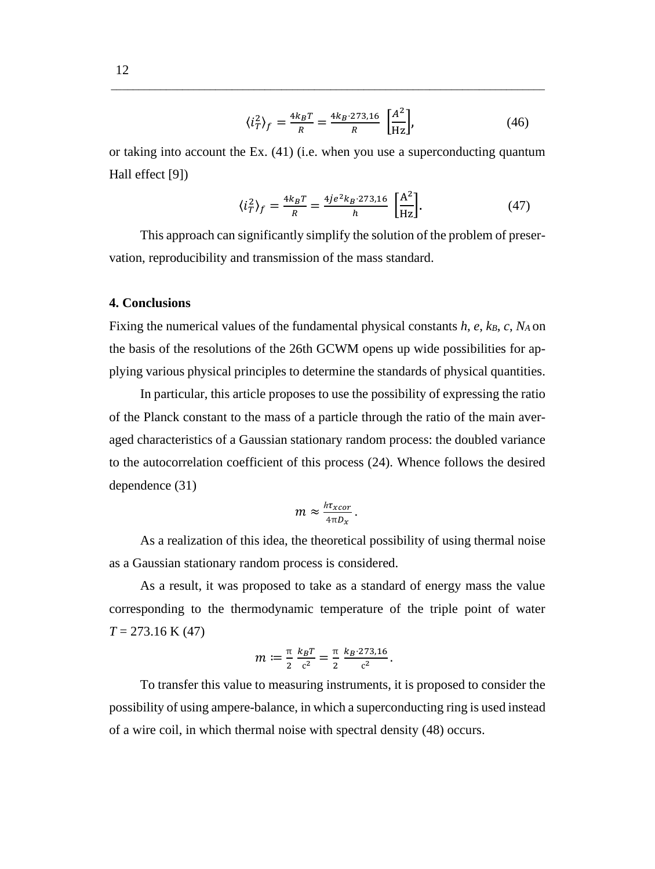$$
\langle i_T^2 \rangle_f = \frac{4k_B T}{R} = \frac{4k_B \cdot 273.16}{R} \left[ \frac{A^2}{\text{Hz}} \right],\tag{46}
$$

or taking into account the Ex. (41) (i.e. when you use a superconducting quantum Hall effect [9])

\_\_\_\_\_\_\_\_\_\_\_\_\_\_\_\_\_\_\_\_\_\_\_\_\_\_\_\_\_\_\_\_\_\_\_\_\_\_\_\_\_\_\_\_\_\_\_\_\_\_\_\_\_\_\_\_\_\_\_\_\_\_\_\_\_\_\_\_\_\_\_\_\_\_\_\_\_\_\_

$$
\langle i_T^2 \rangle_f = \frac{4k_B T}{R} = \frac{4j e^2 k_B \cdot 273.16}{h} \left[ \frac{A^2}{Hz} \right]. \tag{47}
$$

This approach can significantly simplify the solution of the problem of preservation, reproducibility and transmission of the mass standard.

### **4. Conclusions**

Fixing the numerical values of the fundamental physical constants *h*, *e*, *k<sub>B</sub>*, *c*, *N<sub>A</sub>* on the basis of the resolutions of the 26th GCWM opens up wide possibilities for applying various physical principles to determine the standards of physical quantities.

In particular, this article proposes to use the possibility of expressing the ratio of the Planck constant to the mass of a particle through the ratio of the main averaged characteristics of a Gaussian stationary random process: the doubled variance to the autocorrelation coefficient of this process (24). Whence follows the desired dependence (31)

$$
m \approx \frac{h\tau_{xcor}}{4\pi D_x}.
$$

As a realization of this idea, the theoretical possibility of using thermal noise as a Gaussian stationary random process is considered.

As a result, it was proposed to take as a standard of energy mass the value corresponding to the thermodynamic temperature of the triple point of water *T* = 273.16 K (47)

$$
m \coloneqq \frac{\pi}{2} \frac{k_B T}{c^2} = \frac{\pi}{2} \frac{k_B \cdot 273,16}{c^2}.
$$

To transfer this value to measuring instruments, it is proposed to consider the possibility of using ampere-balance, in which a superconducting ring is used instead of a wire coil, in which thermal noise with spectral density (48) occurs.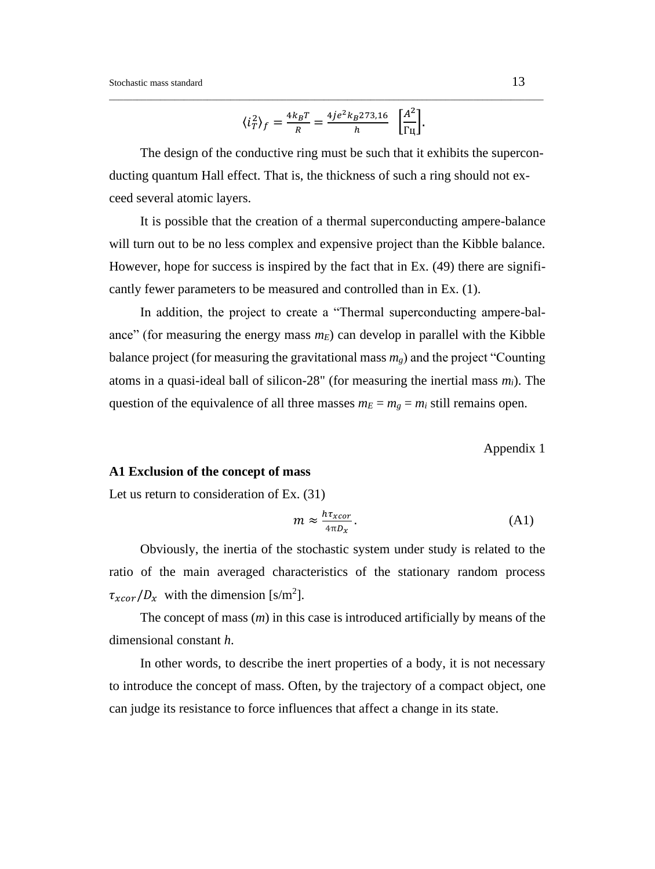$$
\langle i_T^2 \rangle_f = \frac{4k_B T}{R} = \frac{4j e^2 k_B 273,16}{h} \left[ \frac{A^2}{\Gamma \mu} \right].
$$

\_\_\_\_\_\_\_\_\_\_\_\_\_\_\_\_\_\_\_\_\_\_\_\_\_\_\_\_\_\_\_\_\_\_\_\_\_\_\_\_\_\_\_\_\_\_\_\_\_\_\_\_\_\_\_\_\_\_\_\_\_\_\_\_\_\_\_\_\_\_\_\_\_\_\_\_\_\_\_\_\_\_\_\_\_\_\_\_\_\_\_\_\_

The design of the conductive ring must be such that it exhibits the superconducting quantum Hall effect. That is, the thickness of such a ring should not exceed several atomic layers.

It is possible that the creation of a thermal superconducting ampere-balance will turn out to be no less complex and expensive project than the Kibble balance. However, hope for success is inspired by the fact that in Ex. (49) there are significantly fewer parameters to be measured and controlled than in Ex. (1).

In addition, the project to create a "Thermal superconducting ampere-balance" (for measuring the energy mass  $m_E$ ) can develop in parallel with the Kibble balance project (for measuring the gravitational mass  $m<sub>g</sub>$ ) and the project "Counting atoms in a quasi-ideal ball of silicon-28" (for measuring the inertial mass *mi*). The question of the equivalence of all three masses  $m_E = m_g = m_i$  still remains open.

Appendix 1

#### **A1 Exclusion of the concept of mass**

Let us return to consideration of Ex. (31)

$$
m \approx \frac{h\tau_{xcor}}{4\pi D_x}.
$$
 (A1)

Obviously, the inertia of the stochastic system under study is related to the ratio of the main averaged characteristics of the stationary random process  $\tau_{xcor}/D_x$  with the dimension [s/m<sup>2</sup>].

The concept of mass (*m*) in this case is introduced artificially by means of the dimensional constant *h*.

In other words, to describe the inert properties of a body, it is not necessary to introduce the concept of mass. Often, by the trajectory of a compact object, one can judge its resistance to force influences that affect a change in its state.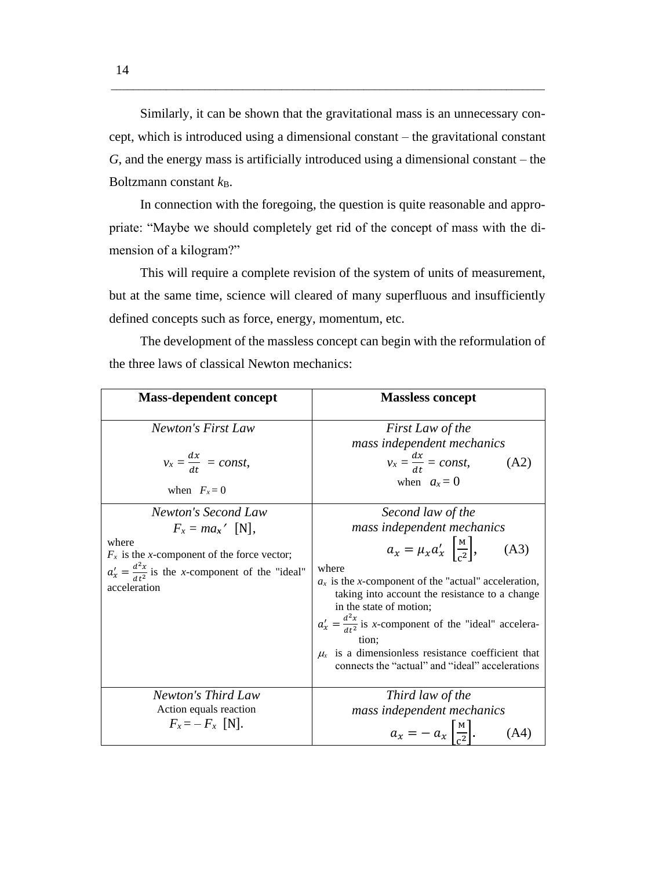Similarly, it can be shown that the gravitational mass is an unnecessary concept, which is introduced using a dimensional constant – the gravitational constant *G*, and the energy mass is artificially introduced using a dimensional constant – the Boltzmann constant  $k_{\text{B}}$ .

\_\_\_\_\_\_\_\_\_\_\_\_\_\_\_\_\_\_\_\_\_\_\_\_\_\_\_\_\_\_\_\_\_\_\_\_\_\_\_\_\_\_\_\_\_\_\_\_\_\_\_\_\_\_\_\_\_\_\_\_\_\_\_\_\_\_\_\_\_\_\_\_\_\_\_\_\_\_\_

In connection with the foregoing, the question is quite reasonable and appropriate: "Maybe we should completely get rid of the concept of mass with the dimension of a kilogram?"

This will require a complete revision of the system of units of measurement, but at the same time, science will cleared of many superfluous and insufficiently defined concepts such as force, energy, momentum, etc.

The development of the massless concept can begin with the reformulation of the three laws of classical Newton mechanics:

| <b>Mass-dependent concept</b>                                                                                                                                                       | <b>Massless concept</b>                                                                                                                                                                                                                                                                                                                                                                                                                                   |
|-------------------------------------------------------------------------------------------------------------------------------------------------------------------------------------|-----------------------------------------------------------------------------------------------------------------------------------------------------------------------------------------------------------------------------------------------------------------------------------------------------------------------------------------------------------------------------------------------------------------------------------------------------------|
| Newton's First Law<br>$v_x = \frac{dx}{dt} = const,$<br>when $F_x = 0$                                                                                                              | First Law of the<br>mass independent mechanics<br>$v_x = \frac{dx}{dt} = const,$<br>(A2)<br>when $a_x = 0$                                                                                                                                                                                                                                                                                                                                                |
| Newton's Second Law<br>$F_x = ma_x'$ [N],<br>where<br>$F_x$ is the x-component of the force vector;<br>$a'_x = \frac{d^2x}{dt^2}$ is the x-component of the "ideal"<br>acceleration | Second law of the<br>mass independent mechanics<br>$a_x = \mu_x a'_x \left[ \frac{M}{c^2} \right],$<br>(A3)<br>where<br>$a_x$ is the x-component of the "actual" acceleration,<br>taking into account the resistance to a change<br>in the state of motion;<br>$a'_x = \frac{d^2x}{dt^2}$ is x-component of the "ideal" accelera-<br>tion:<br>$\mu_{x}$ is a dimensionless resistance coefficient that<br>connects the "actual" and "ideal" accelerations |
| Newton's Third Law<br>Action equals reaction<br>$F_x = -F_x$ [N].                                                                                                                   | Third law of the<br>mass independent mechanics<br>$a_x = -a_x \left  \frac{M}{c^2} \right .$<br>(A4)                                                                                                                                                                                                                                                                                                                                                      |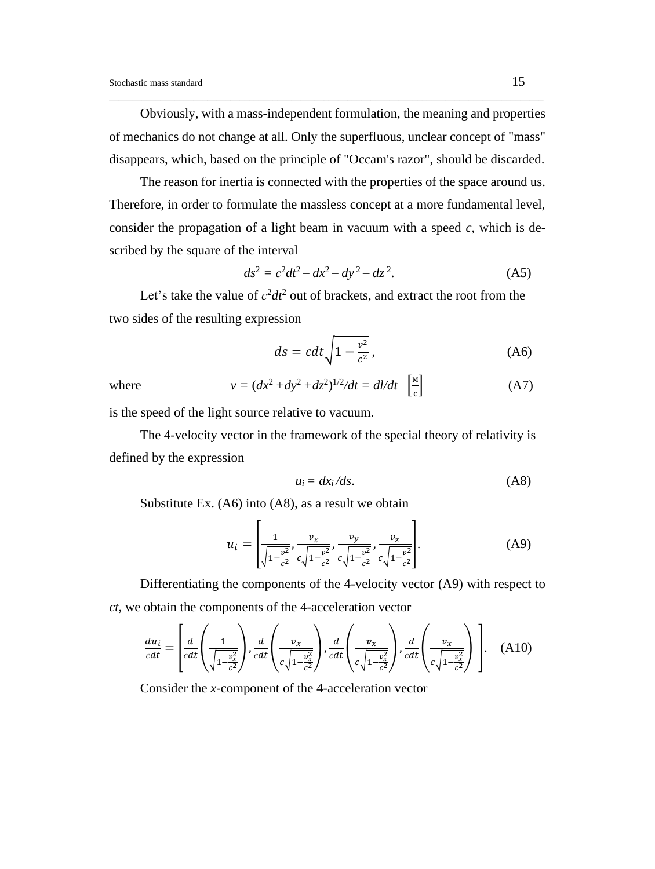Obviously, with a mass-independent formulation, the meaning and properties of mechanics do not change at all. Only the superfluous, unclear concept of "mass" disappears, which, based on the principle of "Occam's razor", should be discarded.

\_\_\_\_\_\_\_\_\_\_\_\_\_\_\_\_\_\_\_\_\_\_\_\_\_\_\_\_\_\_\_\_\_\_\_\_\_\_\_\_\_\_\_\_\_\_\_\_\_\_\_\_\_\_\_\_\_\_\_\_\_\_\_\_\_\_\_\_\_\_\_\_\_\_\_\_\_\_\_\_\_\_\_\_\_\_\_\_\_\_\_\_\_

The reason for inertia is connected with the properties of the space around us. Therefore, in order to formulate the massless concept at a more fundamental level, consider the propagation of a light beam in vacuum with a speed *c*, which is described by the square of the interval

$$
ds^2 = c^2 dt^2 - dx^2 - dy^2 - dz^2.
$$
 (A5)

Let's take the value of  $c^2 dt^2$  out of brackets, and extract the root from the two sides of the resulting expression

$$
ds = cdt \sqrt{1 - \frac{v^2}{c^2}},\tag{A6}
$$

where  $v = (dx^2 + dy^2 + dz^2)^{1/2}/dt = dl/dt$   $\int_{0}^{M}$ с  $(A7)$ 

is the speed of the light source relative to vacuum.

The 4-velocity vector in the framework of the special theory of relativity is defined by the expression

$$
u_i = dx_i/ds. \tag{A8}
$$

Substitute Ex. (A6) into (A8), as a result we obtain

$$
u_i = \left[ \frac{1}{\sqrt{1 - \frac{v^2}{c^2}}}, \frac{v_x}{c \sqrt{1 - \frac{v^2}{c^2}}}, \frac{v_y}{c \sqrt{1 - \frac{v^2}{c^2}}}, \frac{v_z}{c \sqrt{1 - \frac{v^2}{c^2}}} \right].
$$
 (A9)

Differentiating the components of the 4-velocity vector (A9) with respect to *ct*, we obtain the components of the 4-acceleration vector

$$
\frac{du_i}{cdt} = \left[ \frac{d}{cdt} \left( \frac{1}{\sqrt{1 - \frac{v_x^2}{c^2}}} \right), \frac{d}{cdt} \left( \frac{v_x}{c\sqrt{1 - \frac{v_x^2}{c^2}}} \right), \frac{d}{cdt} \left( \frac{v_x}{c\sqrt{1 - \frac{v_x^2}{c^2}}} \right), \frac{d}{cdt} \left( \frac{v_x}{c\sqrt{1 - \frac{v_x^2}{c^2}}} \right) \right]. \quad (A10)
$$

Consider the *x*-component of the 4-acceleration vector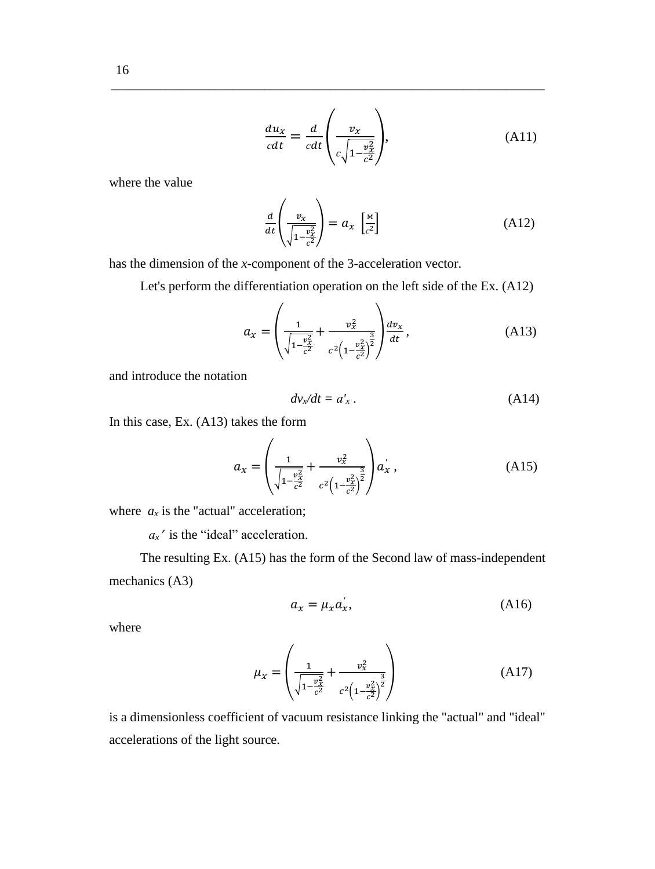$$
\frac{du_x}{cdt} = \frac{d}{cdt} \left( \frac{v_x}{c\sqrt{1 - \frac{v_x^2}{c^2}}} \right),\tag{A11}
$$

where the value

$$
\frac{d}{dt}\left(\frac{v_x}{\sqrt{1-\frac{v_x^2}{c^2}}}\right) = a_x \left[\frac{M}{c^2}\right]
$$
\n(A12)

has the dimension of the *x*-component of the 3-acceleration vector.

 $\overline{ }$ 

Let's perform the differentiation operation on the left side of the Ex. (A12)

\_\_\_\_\_\_\_\_\_\_\_\_\_\_\_\_\_\_\_\_\_\_\_\_\_\_\_\_\_\_\_\_\_\_\_\_\_\_\_\_\_\_\_\_\_\_\_\_\_\_\_\_\_\_\_\_\_\_\_\_\_\_\_\_\_\_\_\_\_\_\_\_\_\_\_\_\_\_\_

$$
a_x = \left(\frac{1}{\sqrt{1 - \frac{v_x^2}{c^2}}} + \frac{v_x^2}{c^2 \left(1 - \frac{v_x^2}{c^2}\right)^2}\right) \frac{dv_x}{dt},
$$
\n(A13)

and introduce the notation

$$
dv_x/dt = a'_x. \tag{A14}
$$

In this case, Ex. (A13) takes the form

$$
a_x = \left(\frac{1}{\sqrt{1 - \frac{v_x^2}{c^2}}} + \frac{v_x^2}{c^2 \left(1 - \frac{v_x^2}{c^2}\right)^{\frac{3}{2}}}\right) a'_x ,
$$
 (A15)

where  $a_x$  is the "actual" acceleration;

 $a_x$ <sup>'</sup> is the "ideal" acceleration.

The resulting Ex. (A15) has the form of the Second law of mass-independent mechanics (A3)

$$
a_x = \mu_x a_x',\tag{A16}
$$

where

$$
\mu_x = \left(\frac{1}{\sqrt{1 - \frac{v_x^2}{c^2}}} + \frac{v_x^2}{c^2 \left(1 - \frac{v_x^2}{c^2}\right)^{\frac{3}{2}}}\right) \tag{A17}
$$

is a dimensionless coefficient of vacuum resistance linking the "actual" and "ideal" accelerations of the light source.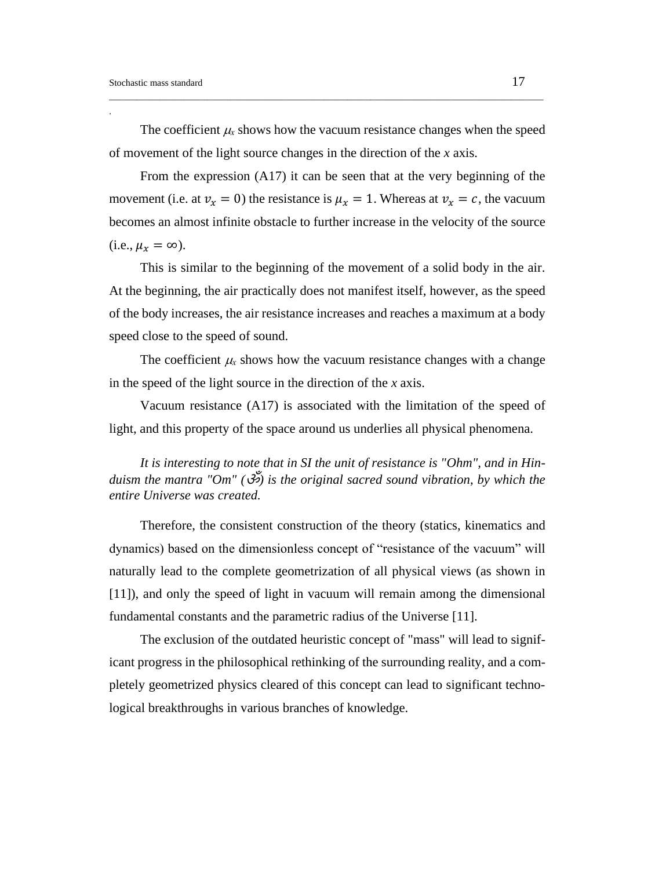.

The coefficient  $\mu$  shows how the vacuum resistance changes when the speed of movement of the light source changes in the direction of the *x* axis.

\_\_\_\_\_\_\_\_\_\_\_\_\_\_\_\_\_\_\_\_\_\_\_\_\_\_\_\_\_\_\_\_\_\_\_\_\_\_\_\_\_\_\_\_\_\_\_\_\_\_\_\_\_\_\_\_\_\_\_\_\_\_\_\_\_\_\_\_\_\_\_\_\_\_\_\_\_\_\_\_\_\_\_\_\_\_\_\_\_\_\_\_\_

From the expression (A17) it can be seen that at the very beginning of the movement (i.e. at  $v_x = 0$ ) the resistance is  $\mu_x = 1$ . Whereas at  $v_x = c$ , the vacuum becomes an almost infinite obstacle to further increase in the velocity of the source  $(i.e.,  $\mu_x = \infty$ ).$ 

This is similar to the beginning of the movement of a solid body in the air. At the beginning, the air practically does not manifest itself, however, as the speed of the body increases, the air resistance increases and reaches a maximum at a body speed close to the speed of sound.

The coefficient  $\mu$  shows how the vacuum resistance changes with a change in the speed of the light source in the direction of the *x* axis.

Vacuum resistance (A17) is associated with the limitation of the speed of light, and this property of the space around us underlies all physical phenomena.

*It is interesting to note that in SI the unit of resistance is "Ohm", and in Hinduism the mantra "Om" (*ॐ*) is the original sacred sound vibration, by which the entire Universe was created.*

Therefore, the consistent construction of the theory (statics, kinematics and dynamics) based on the dimensionless concept of "resistance of the vacuum" will naturally lead to the complete geometrization of all physical views (as shown in [11]), and only the speed of light in vacuum will remain among the dimensional fundamental constants and the parametric radius of the Universe [11].

The exclusion of the outdated heuristic concept of "mass" will lead to significant progress in the philosophical rethinking of the surrounding reality, and a completely geometrized physics cleared of this concept can lead to significant technological breakthroughs in various branches of knowledge.